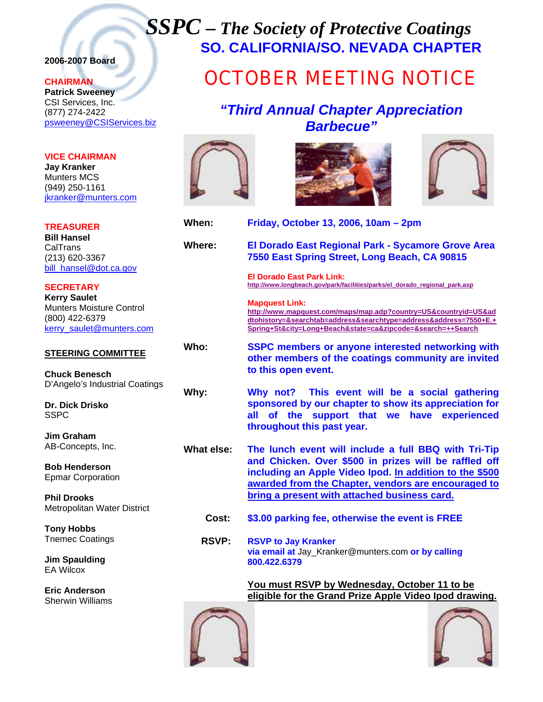# *SSPC – The Society of Protective Coatings* **SO. CALIFORNIA/SO. NEVADA CHAPTER**

# **2006-2007 Board**

### **CHAIRMAN**

**Patrick Sweeney** CSI Services, Inc. (877) 274-2422 psweeney@CSIServices.biz

# **VICE CHAIRMAN**

**Jay Kranker** Munters MCS (949) 250-1161 jkranker@munters.com

# **TREASURER**

**Bill Hansel CalTrans** (213) 620-3367 bill\_hansel@dot.ca.gov

**SECRETARY Kerry Saulet** Munters Moisture Control (800) 422-6379 kerry\_saulet@munters.com

# **STEERING COMMITTEE**

**Chuck Benesch**  D'Angelo's Industrial Coatings

**Dr. Dick Drisko**  SSPC

**Jim Graham**  AB-Concepts, Inc.

**Bob Henderson**  Epmar Corporation

**Phil Drooks**  Metropolitan Water District

**Tony Hobbs**  Tnemec Coatings

**Jim Spaulding**  EA Wilcox

**Eric Anderson**  Sherwin Williams

# OCTOBER MEETING NOTICE

# *"Third Annual Chapter Appreciation Barbecue"*







**When:****Friday, October 13, 2006, 10am – 2pm**

**Where: El Dorado East Regional Park - Sycamore Grove Area 7550 East Spring Street, Long Beach, CA 90815** 

> **El Dorado East Park Link: http://www.longbeach.gov/park/facilities/parks/el\_dorado\_regional\_park.asp**

**Mapquest Link: http://www.mapquest.com/maps/map.adp?country=US&countryid=US&ad dtohistory=&searchtab=address&searchtype=address&address=7550+E.+**

**Spring+St&city=Long+Beach&state=ca&zipcode=&search=++Search**

**Who: SSPC members or anyone interested networking with other members of the coatings community are invited to this open event.**

**Why: Why not? This event will be a social gathering sponsored by our chapter to show its appreciation for all of the support that we have experienced throughout this past year.** 

- **What else: The lunch event will include a full BBQ with Tri-Tip and Chicken. Over \$500 in prizes will be raffled off including an Apple Video Ipod. In addition to the \$500 awarded from the Chapter, vendors are encouraged to bring a present with attached business card.**
	- **Cost: \$3.00 parking fee, otherwise the event is FREE**
	- **RSVP: RSVP to Jay Kranker via email at** Jay\_Kranker@munters.com **or by calling 800.422.6379**

**You must RSVP by Wednesday, October 11 to be eligible for the Grand Prize Apple Video Ipod drawing.**